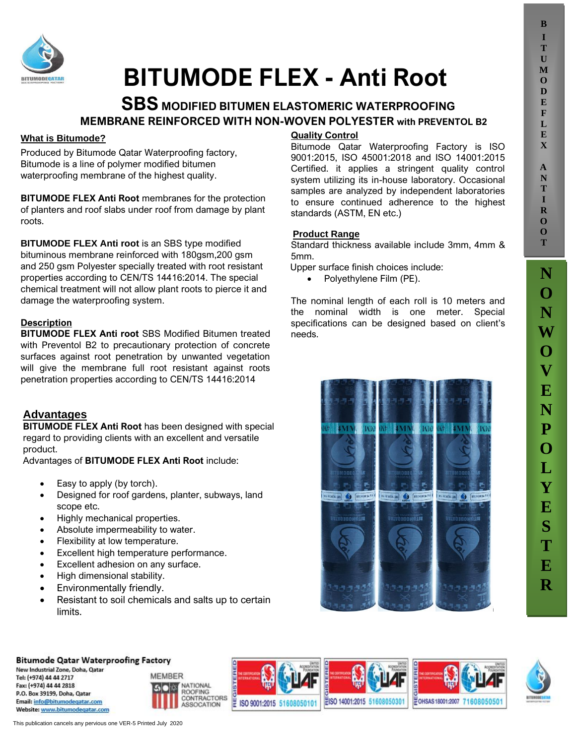**B**



# **BITUMODE FLEX - Anti Root**

# **SBS MODIFIED BITUMEN ELASTOMERIC WATERPROOFING MEMBRANE REINFORCED WITH NON-WOVEN POLYESTER with PREVENTOL B2**

# **What is Bitumode?**

Produced by Bitumode Qatar Waterproofing factory, Bitumode is a line of polymer modified bitumen waterproofing membrane of the highest quality.

**BITUMODE FLEX Anti Root** membranes for the protection of planters and roof slabs under roof from damage by plant roots.

**BITUMODE FLEX Anti root** is an SBS type modified bituminous membrane reinforced with 180gsm,200 gsm and 250 gsm Polyester specially treated with root resistant properties according to CEN/TS 14416:2014. The special chemical treatment will not allow plant roots to pierce it and damage the waterproofing system.

## **Description**

**BITUMODE FLEX Anti root** SBS Modified Bitumen treated with Preventol B2 to precautionary protection of concrete surfaces against root penetration by unwanted vegetation will give the membrane full root resistant against roots penetration properties according to CEN/TS 14416:2014

# **SA Advantages**

**BITUMODE FLEX Anti Root** has been designed with special regard to providing clients with an excellent and versatile product.

Advantages of **BITUMODE FLEX Anti Root** include:

- Easy to apply (by torch).
- Designed for roof gardens, planter, subways, land scope etc.
- Highly mechanical properties.
- Absolute impermeability to water.
- Flexibility at low temperature.
- Excellent high temperature performance.
- Excellent adhesion on any surface.
- High dimensional stability.
- Environmentally friendly.
- Resistant to soil chemicals and salts up to certain limits.

# **Quality Control**

Bitumode Qatar Waterproofing Factory is ISO 9001:2015, ISO 45001:2018 and ISO 14001:2015 Certified. it applies a stringent quality control system utilizing its in-house laboratory. Occasional samples are analyzed by independent laboratories to ensure continued adherence to the highest standards (ASTM, EN etc.)

### **Product Range**

Standard thickness available include 3mm, 4mm & 5mm.

Upper surface finish choices include:

• Polyethylene Film (PE).

The nominal length of each roll is 10 meters and the nominal width is one meter. Special specifications can be designed based on client's needs.



#### **Bitumode Qatar Waterproofing Factory**

New Industrial Zone, Doha, Qatar Tel: (+974) 44 44 2717 Fax: (+974) 44 44 2818 P.O. Box 39199, Doha, Oatar Email: info@bitumodegatar.com Website: www.bitumodegatar.com